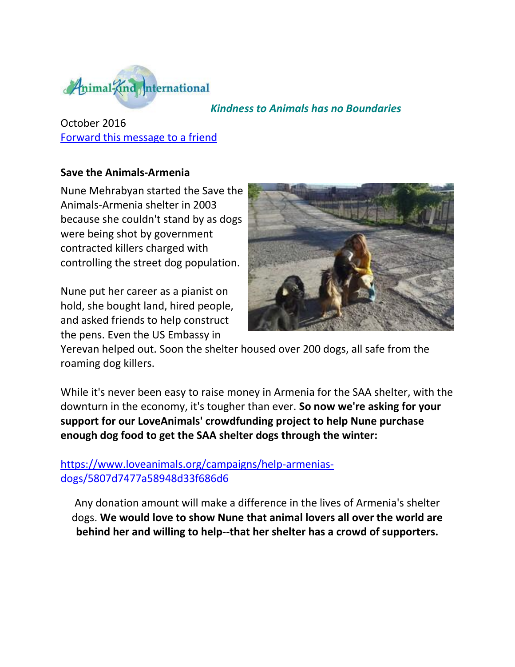

## *Kindness to Animals has no Boundaries*

October 2016 [Forward this message to a friend](http://oi.vresp.com/f2af/v4/send_to_friend.html?ch=536d853678&lid=284351439&ldh=f33df9aebc) 

## **Save the Animals-Armenia**

Nune Mehrabyan started the Save the Animals-Armenia shelter in 2003 because she couldn't stand by as dogs were being shot by government contracted killers charged with controlling the street dog population.

Nune put her career as a pianist on hold, she bought land, hired people, and asked friends to help construct the pens. Even the US Embassy in



Yerevan helped out. Soon the shelter housed over 200 dogs, all safe from the roaming dog killers.

While it's never been easy to raise money in Armenia for the SAA shelter, with the downturn in the economy, it's tougher than ever. **So now we're asking for your support for our LoveAnimals' crowdfunding project to help Nune purchase enough dog food to get the SAA shelter dogs through the winter:** 

[https://www.loveanimals.org/campaigns/help-armenias](http://cts.vresp.com/c/?AnimalKindInternatio/536d853678/f33df9aebc/258a8e0c32)[dogs/5807d7477a58948d33f686d6](http://cts.vresp.com/c/?AnimalKindInternatio/536d853678/f33df9aebc/258a8e0c32)

Any donation amount will make a difference in the lives of Armenia's shelter dogs. **We would love to show Nune that animal lovers all over the world are behind her and willing to help--that her shelter has a crowd of supporters.**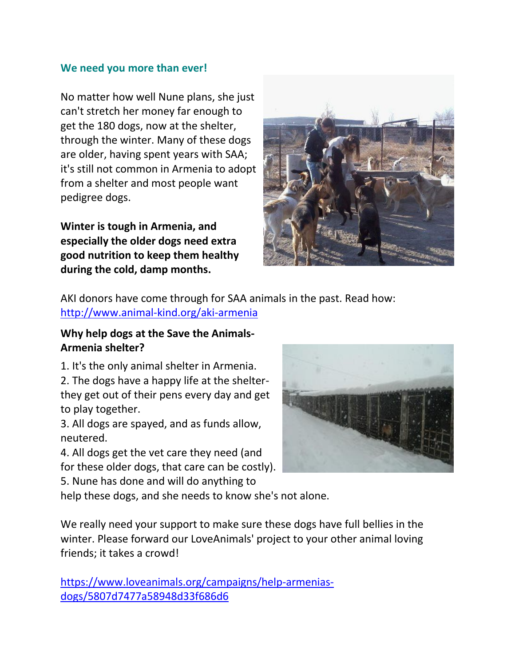## **We need you more than ever!**

No matter how well Nune plans, she just can't stretch her money far enough to get the 180 dogs, now at the shelter, through the winter. Many of these dogs are older, having spent years with SAA; it's still not common in Armenia to adopt from a shelter and most people want pedigree dogs.

**Winter is tough in Armenia, and especially the older dogs need extra good nutrition to keep them healthy during the cold, damp months.**



AKI donors have come through for SAA animals in the past. Read how[:](http://cts.vresp.com/c/?AnimalKindInternatio/536d853678/f33df9aebc/0640db99f7) [http://www.animal-kind.org/aki-armenia](http://cts.vresp.com/c/?AnimalKindInternatio/536d853678/f33df9aebc/0640db99f7)

## **Why help dogs at the Save the Animals-Armenia shelter?**

1. It's the only animal shelter in Armenia.

2. The dogs have a happy life at the shelterthey get out of their pens every day and get to play together.

3. All dogs are spayed, and as funds allow, neutered.

4. All dogs get the vet care they need (and for these older dogs, that care can be costly).

5. Nune has done and will do anything to



help these dogs, and she needs to know she's not alone.

We really need your support to make sure these dogs have full bellies in the winter. Please forward our LoveAnimals' project to your other animal loving friends; it takes a crowd!

[https://www.loveanimals.org/campaigns/help-armenias](http://cts.vresp.com/c/?AnimalKindInternatio/536d853678/f33df9aebc/8a47017d7c)[dogs/5807d7477a58948d33f686d6](http://cts.vresp.com/c/?AnimalKindInternatio/536d853678/f33df9aebc/8a47017d7c)